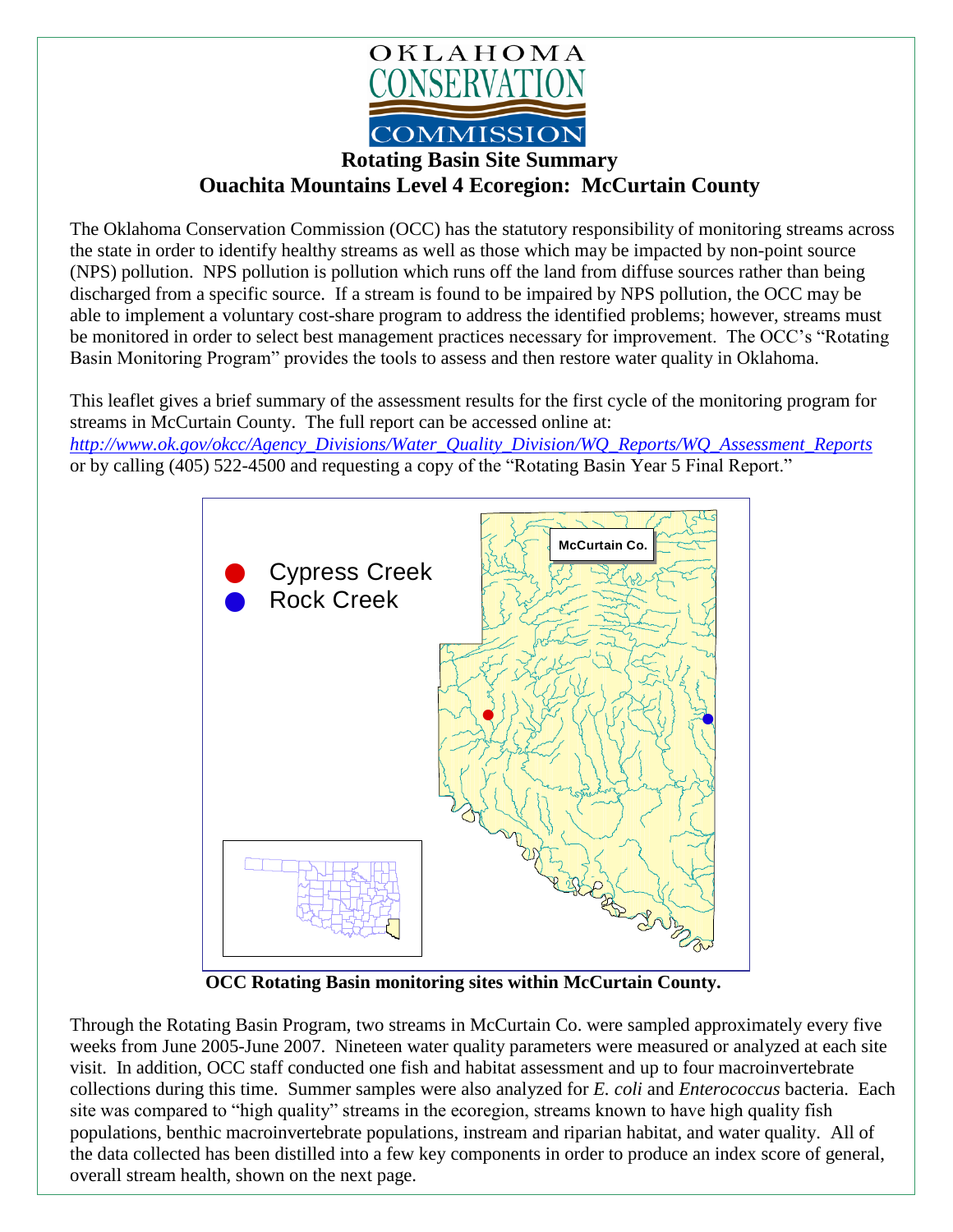

**Rotating Basin Site Summary Ouachita Mountains Level 4 Ecoregion: McCurtain County**

The Oklahoma Conservation Commission (OCC) has the statutory responsibility of monitoring streams across the state in order to identify healthy streams as well as those which may be impacted by non-point source (NPS) pollution. NPS pollution is pollution which runs off the land from diffuse sources rather than being discharged from a specific source. If a stream is found to be impaired by NPS pollution, the OCC may be able to implement a voluntary cost-share program to address the identified problems; however, streams must be monitored in order to select best management practices necessary for improvement. The OCC's "Rotating Basin Monitoring Program" provides the tools to assess and then restore water quality in Oklahoma.

This leaflet gives a brief summary of the assessment results for the first cycle of the monitoring program for streams in McCurtain County. The full report can be accessed online at:

*[http://www.ok.gov/okcc/Agency\\_Divisions/Water\\_Quality\\_Division/WQ\\_Reports/WQ\\_Assessment\\_Reports](http://www.ok.gov/okcc/Agency_Divisions/Water_Quality_Division/WQ_Reports/WQ_Assessment_Reports)* or by calling (405) 522-4500 and requesting a copy of the "Rotating Basin Year 5 Final Report."



 **OCC Rotating Basin monitoring sites within McCurtain County.**

Through the Rotating Basin Program, two streams in McCurtain Co. were sampled approximately every five weeks from June 2005-June 2007. Nineteen water quality parameters were measured or analyzed at each site visit. In addition, OCC staff conducted one fish and habitat assessment and up to four macroinvertebrate collections during this time. Summer samples were also analyzed for *E. coli* and *Enterococcus* bacteria. Each site was compared to "high quality" streams in the ecoregion, streams known to have high quality fish populations, benthic macroinvertebrate populations, instream and riparian habitat, and water quality. All of the data collected has been distilled into a few key components in order to produce an index score of general, overall stream health, shown on the next page.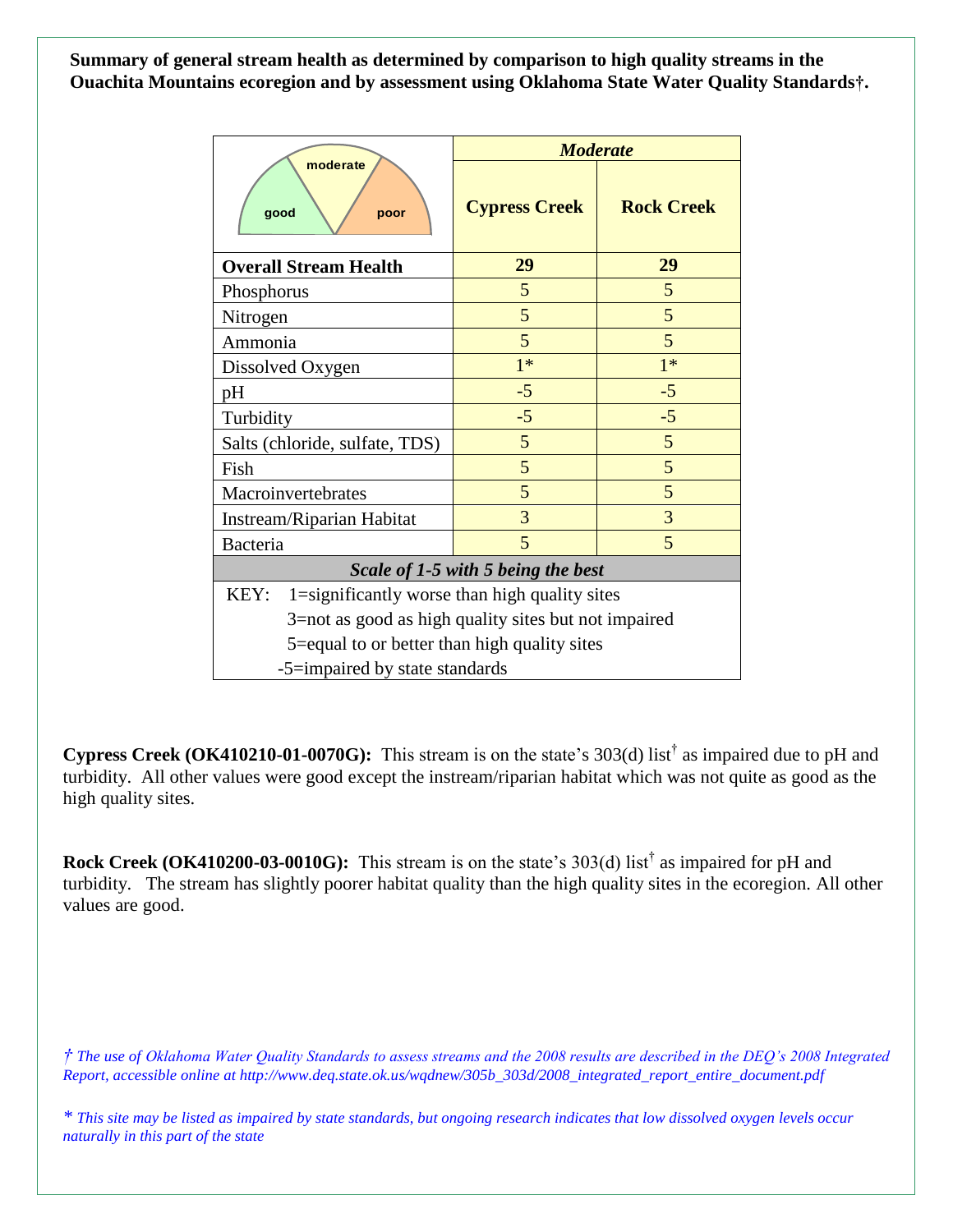**Summary of general stream health as determined by comparison to high quality streams in the Ouachita Mountains ecoregion and by assessment using Oklahoma State Water Quality Standards†.**

| moderate<br>good<br>poor                              | <b>Moderate</b>      |                   |
|-------------------------------------------------------|----------------------|-------------------|
|                                                       | <b>Cypress Creek</b> | <b>Rock Creek</b> |
| <b>Overall Stream Health</b>                          | 29                   | 29                |
| Phosphorus                                            | 5                    | 5                 |
| Nitrogen                                              | 5                    | 5                 |
| Ammonia                                               | 5                    | 5                 |
| Dissolved Oxygen                                      | $1*$                 | $1*$              |
| pH                                                    | $-5$                 | $-5$              |
| Turbidity                                             | $-5$                 | $-5$              |
| Salts (chloride, sulfate, TDS)                        | 5                    | 5                 |
| Fish                                                  | 5                    | 5                 |
| Macroinvertebrates                                    | 5                    | 5                 |
| Instream/Riparian Habitat                             | 3                    | 3                 |
| Bacteria                                              | 5                    | 5                 |
| Scale of 1-5 with 5 being the best                    |                      |                   |
| 1=significantly worse than high quality sites<br>KEY: |                      |                   |
| 3=not as good as high quality sites but not impaired  |                      |                   |
| 5=equal to or better than high quality sites          |                      |                   |
| -5=impaired by state standards                        |                      |                   |

**Cypress Creek (OK410210-01-0070G):** This stream is on the state's 303(d) list† as impaired due to pH and turbidity. All other values were good except the instream/riparian habitat which was not quite as good as the high quality sites.

**Rock Creek (OK410200-03-0010G):** This stream is on the state's 303(d) list<sup>†</sup> as impaired for pH and turbidity. The stream has slightly poorer habitat quality than the high quality sites in the ecoregion. All other values are good.

*† The use of Oklahoma Water Quality Standards to assess streams and the 2008 results are described in the DEQ's 2008 Integrated Report, accessible online at http://www.deq.state.ok.us/wqdnew/305b\_303d/2008\_integrated\_report\_entire\_document.pdf*

*\* This site may be listed as impaired by state standards, but ongoing research indicates that low dissolved oxygen levels occur naturally in this part of the state*